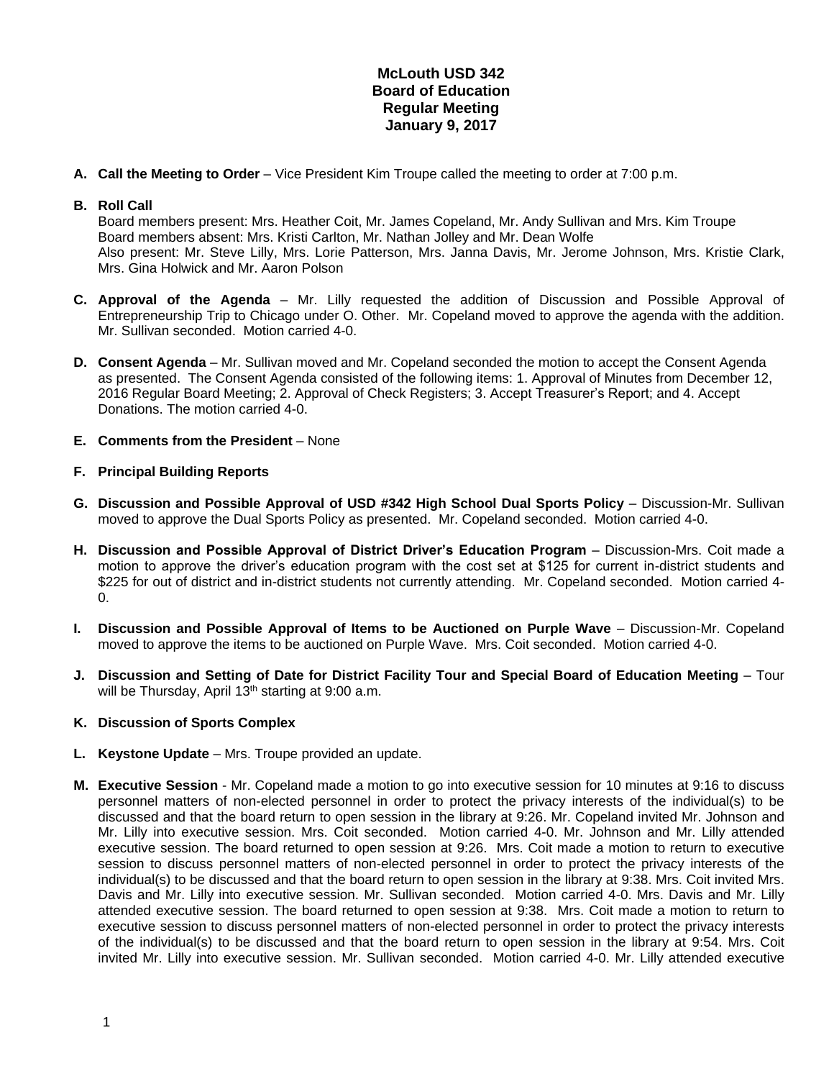## **McLouth USD 342 Board of Education Regular Meeting January 9, 2017**

**A. Call the Meeting to Order** – Vice President Kim Troupe called the meeting to order at 7:00 p.m.

## **B. Roll Call**

Board members present: Mrs. Heather Coit, Mr. James Copeland, Mr. Andy Sullivan and Mrs. Kim Troupe Board members absent: Mrs. Kristi Carlton, Mr. Nathan Jolley and Mr. Dean Wolfe Also present: Mr. Steve Lilly, Mrs. Lorie Patterson, Mrs. Janna Davis, Mr. Jerome Johnson, Mrs. Kristie Clark, Mrs. Gina Holwick and Mr. Aaron Polson

- **C. Approval of the Agenda** Mr. Lilly requested the addition of Discussion and Possible Approval of Entrepreneurship Trip to Chicago under O. Other. Mr. Copeland moved to approve the agenda with the addition. Mr. Sullivan seconded. Motion carried 4-0.
- **D. Consent Agenda** Mr. Sullivan moved and Mr. Copeland seconded the motion to accept the Consent Agenda as presented. The Consent Agenda consisted of the following items: 1. Approval of Minutes from December 12, 2016 Regular Board Meeting; 2. Approval of Check Registers; 3. Accept Treasurer's Report; and 4. Accept Donations. The motion carried 4-0.

## **E. Comments from the President** – None

## **F. Principal Building Reports**

- **G. Discussion and Possible Approval of USD #342 High School Dual Sports Policy** Discussion-Mr. Sullivan moved to approve the Dual Sports Policy as presented. Mr. Copeland seconded. Motion carried 4-0.
- **H. Discussion and Possible Approval of District Driver's Education Program** Discussion-Mrs. Coit made a motion to approve the driver's education program with the cost set at \$125 for current in-district students and \$225 for out of district and in-district students not currently attending. Mr. Copeland seconded. Motion carried 4- $\Omega$
- **I. Discussion and Possible Approval of Items to be Auctioned on Purple Wave** Discussion-Mr. Copeland moved to approve the items to be auctioned on Purple Wave. Mrs. Coit seconded. Motion carried 4-0.
- **J. Discussion and Setting of Date for District Facility Tour and Special Board of Education Meeting** Tour will be Thursday, April  $13<sup>th</sup>$  starting at 9:00 a.m.
- **K. Discussion of Sports Complex**
- **L.** Keystone Update Mrs. Troupe provided an update.
- **M. Executive Session** Mr. Copeland made a motion to go into executive session for 10 minutes at 9:16 to discuss personnel matters of non-elected personnel in order to protect the privacy interests of the individual(s) to be discussed and that the board return to open session in the library at 9:26. Mr. Copeland invited Mr. Johnson and Mr. Lilly into executive session. Mrs. Coit seconded. Motion carried 4-0. Mr. Johnson and Mr. Lilly attended executive session. The board returned to open session at 9:26. Mrs. Coit made a motion to return to executive session to discuss personnel matters of non-elected personnel in order to protect the privacy interests of the individual(s) to be discussed and that the board return to open session in the library at 9:38. Mrs. Coit invited Mrs. Davis and Mr. Lilly into executive session. Mr. Sullivan seconded. Motion carried 4-0. Mrs. Davis and Mr. Lilly attended executive session. The board returned to open session at 9:38. Mrs. Coit made a motion to return to executive session to discuss personnel matters of non-elected personnel in order to protect the privacy interests of the individual(s) to be discussed and that the board return to open session in the library at 9:54. Mrs. Coit invited Mr. Lilly into executive session. Mr. Sullivan seconded. Motion carried 4-0. Mr. Lilly attended executive